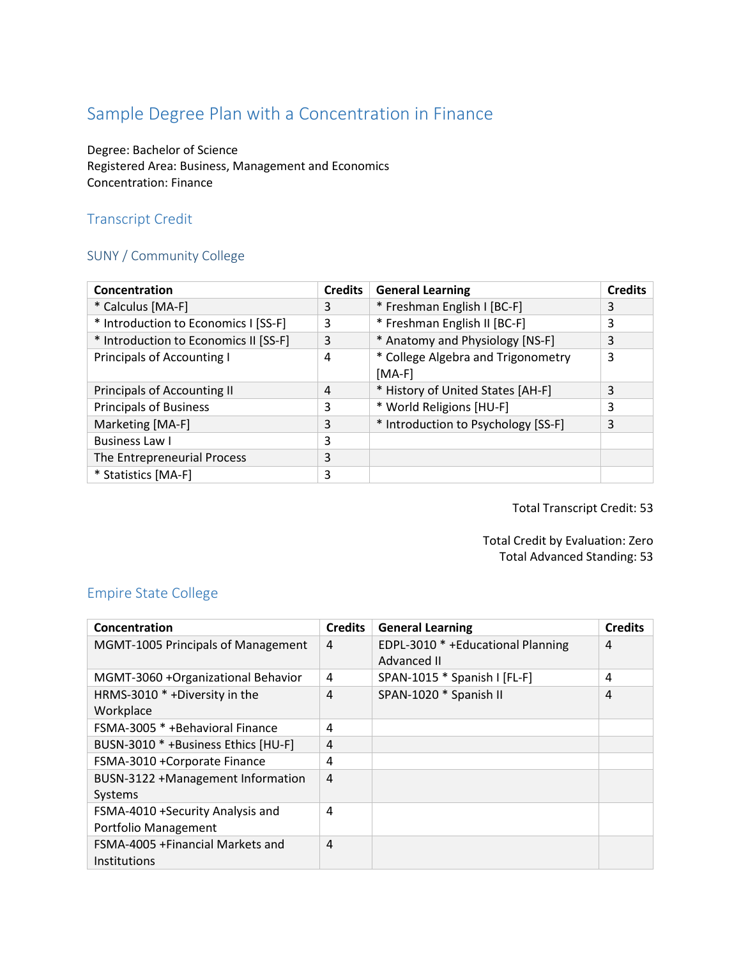# Sample Degree Plan with a Concentration in Finance

Degree: Bachelor of Science Registered Area: Business, Management and Economics Concentration: Finance

# Transcript Credit

# SUNY / Community College

| Concentration                         | <b>Credits</b> | <b>General Learning</b>             | <b>Credits</b> |
|---------------------------------------|----------------|-------------------------------------|----------------|
| * Calculus [MA-F]                     | 3              | * Freshman English I [BC-F]         | 3              |
| * Introduction to Economics I [SS-F]  | 3              | * Freshman English II [BC-F]        | 3              |
| * Introduction to Economics II [SS-F] | 3              | * Anatomy and Physiology [NS-F]     | 3              |
| <b>Principals of Accounting I</b>     | 4              | * College Algebra and Trigonometry  | 3              |
|                                       |                | $[MA-F]$                            |                |
| <b>Principals of Accounting II</b>    | 4              | * History of United States [AH-F]   | 3              |
| <b>Principals of Business</b>         | 3              | * World Religions [HU-F]            | 3              |
| Marketing [MA-F]                      | 3              | * Introduction to Psychology [SS-F] | 3              |
| <b>Business Law I</b>                 | 3              |                                     |                |
| The Entrepreneurial Process           | 3              |                                     |                |
| * Statistics [MA-F]                   | 3              |                                     |                |

Total Transcript Credit: 53

Total Credit by Evaluation: Zero Total Advanced Standing: 53

#### Empire State College

| Concentration                       | <b>Credits</b> | <b>General Learning</b>           | <b>Credits</b> |
|-------------------------------------|----------------|-----------------------------------|----------------|
| MGMT-1005 Principals of Management  | $\overline{4}$ | EDPL-3010 * +Educational Planning | 4              |
|                                     |                | Advanced II                       |                |
| MGMT-3060 +Organizational Behavior  | 4              | SPAN-1015 * Spanish I [FL-F]      | 4              |
| HRMS-3010 * +Diversity in the       | 4              | SPAN-1020 * Spanish II            | 4              |
| Workplace                           |                |                                   |                |
| FSMA-3005 * + Behavioral Finance    | 4              |                                   |                |
| BUSN-3010 * +Business Ethics [HU-F] | 4              |                                   |                |
| FSMA-3010 +Corporate Finance        | 4              |                                   |                |
| BUSN-3122 +Management Information   | $\overline{4}$ |                                   |                |
| Systems                             |                |                                   |                |
| FSMA-4010 +Security Analysis and    | 4              |                                   |                |
| Portfolio Management                |                |                                   |                |
| FSMA-4005 + Financial Markets and   | $\overline{4}$ |                                   |                |
| Institutions                        |                |                                   |                |